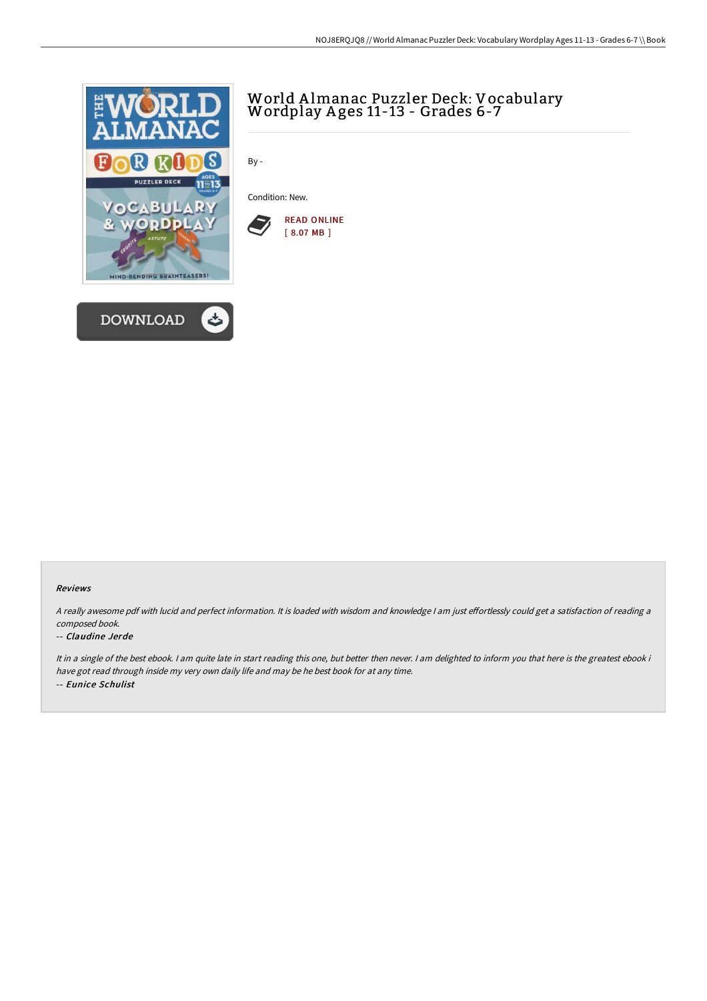



# World <sup>A</sup> lmanac Puzzler Deck: Vocabulary Wordplay <sup>A</sup> ges 11-13 - Grades 6-7

By -

Condition: New.



#### Reviews

A really awesome pdf with lucid and perfect information. It is loaded with wisdom and knowledge I am just effortlessly could get a satisfaction of reading a composed book.

#### -- Claudine Jerde

It in a single of the best ebook. I am quite late in start reading this one, but better then never. I am delighted to inform you that here is the greatest ebook i have got read through inside my very own daily life and may be he best book for at any time. -- Eunice Schulist